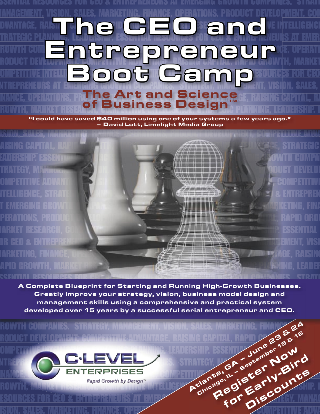### BIENTIAL RESUURGES FUR GEU & ENTREPRENEURS AT EMERGING GRUWTH GUMPANIES. STRATI <u>IANAGEMENT, VISION. SALES, MARKETING. FINANCE, OPERATIONS, PRODUCT DEVELOPMENT, CON</u> DVANTAGE, RAISING CAPITAL, GROWTH, MARKET RESEARCH, MARKET RESEARCH, MARKET RESEARCH, COMPETITION OF  $\mathbb{R}^n$ TRATEGIC PLANNING, LEADERSHIP. ESSENTIAL RESOURCES FOR CEO & ENTREPRENEURS AT EMER  $G$  for the strategy of  $G$  and  $G$  and  $G$  and  $G$  and  $G$  . The stategy of  $G$ RODUCT DEVELOPMENT COMPETITIVE ADVANTAGE, RAISING CAPITAL, RAPID GROWTH, MARKET OMPETITIVE INTELLICENCE SOME EN CHANNING INTELLIGENCE CEO **OMPETITIVE INTELLER COOCE COOCE COOPENEURS AT EMERGING GROUP COOPENEURS AT EMERGING GROUP COOPENEURS, STRATEGY**  $F$  in ance, operations, product  $\Delta$  of a nice  $\Delta$  clear center, raising capital, ra ROWTH, MARKET RESEARCH, COMPUTITIVE SSIMULES INTELLIGENCE, LEADERSHIP. E The CEO and<br>Entrepreneur<br>Book Camp Entrepreneur The Art and Science of Business Design™

"I could have saved \$40 million using one of your systems a few years ago." – David Lott, Limelight Media Group

ISION, SALES, MARKETING, FINANCE, OPERATIONS, PRODUCT DEVELOPMENT, COMPETITIVE ADVA RAISING CAPITAL, RAPID GROWTH, MARKET RESEARCH, COMPETITIVE INTELLIGENCE, STRATEGIC EADERSHIP. ESSENTIAL RESOURCES FOR CENTREPRENEURS FOR CENTREPRENEURS AT EXAMPLEMENT AT EXAMPLE GROWTH COMPAN TRATEGY, MANAGEMENT, VISION, SALES, MARKETING, FINANCE, OPERATION, PRODUCT DEVELOP COMPETITIVE ADVANTAGE, RAISING CAPITAL, RAPID GROWTH, COMPETITIVE ITELLIGENCE, STRATEGIC PLANNING, LEADERSHIP. ESSENTIAL RESOURCES FOR CEO ESSENTIAL RESOURCES FOR CEO & ENTREPREN T EMERGING GROWTH COMPANIES. STRATEGY, MANAGEMENT, SALES, MANAGEMENT, SALES, MANAGEMENT, SALES, MARKETING, FINA PERATIONS, PRODUCT DEVELOPMENT ADVANTAGE, THE VIOLENCE ADVANTAGE OF COMPETITIVE ADVANTAGE OF COMPETITIONS, COMP MARKET RESEARCH, COMPETITIVE INTELLIGENCE, STRATEGIC PLANNING, LEADERSENTIAL RESOURCES OR CEO & ENTREPRENEURS AT EXAMPLE  $\mathscr{L}\rightarrow\mathscr{L}\rightarrow\mathscr{L}\rightarrow\mathbb{R}$  and  $\mathbb{R}$  in  $\mathbb{R}$ MARKETING, FINANCE, OPERATIONS, PRODUCT DEVELOPMENT, COMPETITIVE ADVANCE, RAISING APID GROWTH, MARKET RESEARCH, COMPETITIVE INTELLIGENCE, COMPETITIVE INTELLIGENCE, STRATEGIC PLANNING, LEADERS ES<mark>ential resources for ceo & Entre preneurs at Emergine Große</mark>n companies. Strate

A Complete Blueprint for Starting and Running High-Growth Businesses.<br>
Greatly improve your strategy, vision, business model design and<br>
management skills using a comprehensive and practical system<br>
developed over 15 year Greatly improve your strategy, vision, business model design and management skills using a comprehensive and practical system developed over 15 years by a successful serial entrepreneur and CEO.

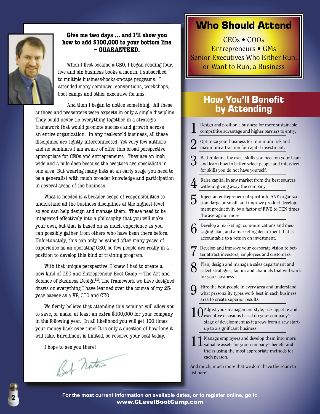

#### **Give me two days ... and I'll show you how to add \$100,000 to your bottom line – GUARANTEED.**

When I first became a CEO, I began reading four, five and six business books a month. I subscribed to multiple business-books-on-tape programs. I attended many seminars, conventions, workshops, boot camps and other executive forums.

And then I began to notice something. All these authors and presenters were experts in only a single discipline. They could never tie everything together in a strategic framework that would promote success and growth across an entire organization. In any real-world business, all these disciplines are tightly interconnected. Yet very few authors and no seminars I am aware of offer this broad perspective appropriate for CEOs and entrepreneurs. They are an inch wide and a mile deep because the creators are specialists in one area. But wearing many hats at an early stage you need to be a generalist with much broader knowledge and participation in several areas of the business.

What is needed is a broader scope of responsibilities to understand all the business disciplines at the highest level so you can help design and manage them. These need to be integrated effectively into a philosophy that you will make your own, but that is based on as much experience as you can possibly gather from others who have been there before. Unfortunately, this can only be gained after many years of experience as an operating CEO, so few people are really in a position to develop this kind of training program.

With that unique perspective, I knew I had to create a new kind of CEO and Entrepreneur Boot Camp — The Art and Science of Business Design™. The framework we have designed draws on everything I have learned over the course of my 23 year career as a VP, CTO and CEO.

We firmly believe that attending this seminar will allow you to save, or make, at least an extra \$100,000 for your company in the following year. In all likelihood you will get 100 times your money back over time! It is only a question of how long it will take. Enrollment is limited, so reserve your seat today.

I hope to see you there!

Bet Notas

## Who Should Attend

CEOs • COOs Entrepreneurs • GMs **Senior Executives Who Either Run,** or Want to Run, a Business

## **How You'll Benefit** by Attending

- Design and position a business for more sustainable competitive advantage and higher barriers to entry. 2 Optimize your business for minimum risk and maximum attraction for capital investment. Better define the exact skills you need on your team and learn how to better select people and interview for skills you do not have yourself. Raise capital in any market from the best sources without giving away the company.  $5$  Inject an entrepreneurial spirit into ANY organization, large or small, and improve product development productivity by a factor of FIVE to TEN times the average or more. 6 Develop a marketing, communications and messaging plan, and a marketing department that is accountable to a return on investment. Develop and improve your corporate vision to better attract investors, employees and customers. **8** Plan, design and manage a sales department and select strategies, tactics and channels that will work for your business. 9 Hire the best people in every area and understand what personality types work best in each business area to create superior results. 1  $0$  Adjust your management style, risk appetite and executive decisions based on your company's stage of development as it grows from a raw start-
- 11 Manage employees and develop them into more valuable assets for your company's benefi t and theirs using the most appropriate methods for each person.

up to a significant business.

And much, much more that we don't have the room to list here!



#### **For the most current information on available dates, or to register online, go to** www.CLevelBootCamp.com **<sup>2</sup>**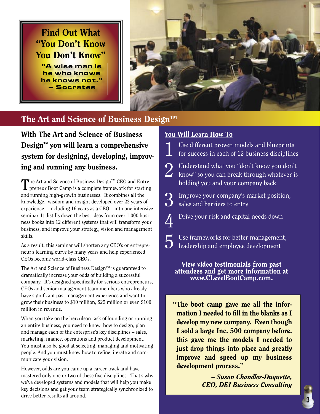Find Out What "You Don't Know You Don't Know"

"A wise man is he who knows he knows not." – Socrates



## The Art and Science of Business Design<sup>TM</sup>

With The Art and Science of Business  $Design^m$  you will learn a comprehensive system for designing, developing, improving and running any business.

The Art and Science of Business Design<sup>TM</sup> CEO and Entre- $\blacksquare$  preneur Boot Camp is a complete framework for starting and running high-growth businesses. It combines all the knowledge, wisdom and insight developed over 23 years of experience – including 16 years as a CEO – into one intensive seminar. It distills down the best ideas from over 1,000 business books into 12 different systems that will transform your business, and improve your strategy, vision and management skills.

As a result, this seminar will shorten any CEO's or entrepreneur's learning curve by many years and help experienced CEOs become world-class CEOs.

The Art and Science of Business Design<sup>TM</sup> is guaranteed to dramatically increase your odds of building a successful company. It's designed specifically for serious entrepreneurs, CEOs and senior management team members who already have significant past management experience and want to grow their business to \$10 million, \$25 million or even \$100 million in revenue.

When you take on the herculean task of founding or running an entire business, you need to know how to design, plan and manage each of the enterprise's key disciplines – sales, marketing, finance, operations and product development. You must also be good at selecting, managing and motivating people. And you must know how to refine, iterate and communicate your vision.

However, odds are you came up a career track and have mastered only one or two of these five disciplines. That's why we've developed systems and models that will help you make key decisions and get your team strategically synchronized to drive better results all around.

#### You Will Learn How To

Use different proven models and blueprints for success in each of 12 business disciplines

2 Understand what you "don't know you don't<br>
labow" so you can break through whatever is holding you and your company back

 $\sum$  Improve your company's market position, sales and barriers to entry

 $\sum$  Drive your risk and capital needs down

5 Use frameworks for better management, leadership and employee development

View video testimonials from past attendees and get more information at www.CLevelBootCamp.com.

"The boot camp gave me all the information I needed to fill in the blanks as  $I$ develop my new company. Even though I sold a large Inc. 500 company before, this gave me the models I needed to just drop things into place and greatly improve and speed up my business development process."

> – *Susan Chandler-Duquette, CEO, DEI Business Consulting*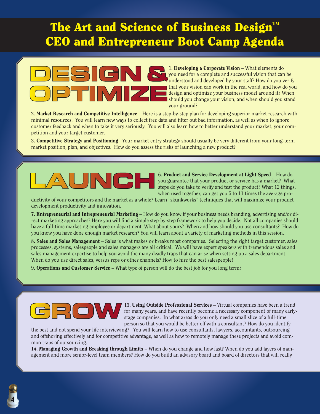# The Art and Science of Business Design<sup>®</sup> CEO and Entrepreneur Boot Camp Agenda



**1.** Developing a Corporate Vision – What elements do you need for a complete and successful vision that can be understood and developed by your staff? How do you verify that your vision can work in the real world, and how do you design and optimize your business model around it? When should you change your vision, and when should you stand your ground?

**2.** Market Research and Competitive Intelligence – Here is a step-by-step plan for developing superior market research with minimal resources. You will learn new ways to collect free data and filter out bad information, as well as when to ignore customer feedback and when to take it very seriously. You will also learn how to better understand your market, your competition and your target customer.

3. Competitive Strategy and Positioning –Your market entry strategy should usually be very different from your long-term market position, plan, and objectives. How do you assess the risks of launching a new product?



**6.** Product and Service Development at Light Speed – How do you guarantee that your product or service has a market? What steps do you take to verify and test the product? What 12 things, when used together, can get you 5 to 11 times the average pro-

ductivity of your competitors and the market as a whole? Learn "skunkworks" techniques that will maximize your product development productivity and innovation.

7. Entrepreneurial and Intrepreneurial Marketing - How do you know if your business needs branding, advertising and/or direct marketing approaches? Here you will find a simple step-by-step framework to help you decide. Not all companies should have a full-time marketing employee or department. What about yours? When and how should you use consultants? How do you know you have done enough market research? You will learn about a variety of marketing methods in this session.

**8.** Sales and Sales Management – Sales is what makes or breaks most companies. Selecting the right target customer, sales processes, systems, salespeople and sales managers are all critical. We will have expert speakers with tremendous sales and sales management expertise to help you avoid the many deadly traps that can arise when setting up a sales department. When do you use direct sales, versus reps or other channels? How to hire the best salespeople!

**9.** Operations and Customer Service – What type of person will do the best job for you long term?



**13.** Using Outside Professional Services – Virtual companies have been a trend for many years, and have recently become a necessary component of many earlystage companies. In what areas do you only need a small slice of a full-time person so that you would be better off with a consultant? How do you identify

the best and not spend your life interviewing? You will learn how to use consultants, lawyers, accountants, outsourcing and offshoring effectively and for competitive advantage, as well as how to remotely manage these projects and avoid common traps of outsourcing.

**14.** Managing Growth and Breaking through Limits – When do you change and how fast? When do you add layers of management and more senior-level team members? How do you build an advisory board and board of directors that will really

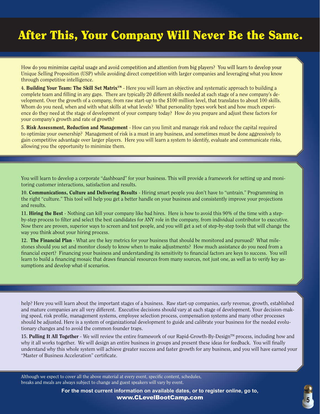# After This, Your Company Will Never Be the Same.

How do you minimize capital usage and avoid competition and attention from big players? You will learn to develop your Unique Selling Proposition (USP) while avoiding direct competition with larger companies and leveraging what you know through competitive intelligence.

**4.** Building Your Team: The Skill Set MatrixTM - Here you will learn an objective and systematic approach to building a complete team and filling in any gaps. There are typically 20 different skills needed at each stage of a new company's development. Over the growth of a company, from raw start-up to the \$100 million level, that translates to about 100 skills. Whom do you need, when and with what skills at what levels? What personality types work best and how much experience do they need at the stage of development of your company today? How do you prepare and adjust these factors for your company's growth and rate of growth?

**5.** Risk Assessment, Reduction and Management - How can you limit and manage risk and reduce the capital required to optimize your ownership? Management of risk is a must in any business, and sometimes must be done aggressively to gain competitive advantage over larger players. Here you will learn a system to identify, evaluate and communicate risks, allowing you the opportunity to minimize them.

You will learn to develop a corporate "dashboard" for your business. This will provide a framework for setting up and monitoring customer interactions, satisfaction and results.

**10.** Communications, Culture and Delivering Results - Hiring smart people you don't have to "untrain." Programming in the right "culture." This tool will help you get a better handle on your business and consistently improve your projections and results.

**11.** Hiring the Best - Nothing can kill your company like bad hires. Here is how to avoid this 90% of the time with a stepby-step process to filter and select the best candidates for ANY role in the company, from individual contributor to executive. Now there are proven, superior ways to screen and test people, and you will get a set of step-by-step tools that will change the way you think about your hiring process.

**12.** The Financial Plan - What are the key metrics for your business that should be monitored and pursued? What milestones should you set and monitor closely to know when to make adjustments? How much assistance do you need from a financial expert? Financing your business and understanding its sensitivity to financial factors are keys to success. You will learn to build a financing mosaic that draws financial resources from many sources, not just one, as well as to verify key assumptions and develop what-if scenarios.

help? Here you will learn about the important stages of a business. Raw start-up companies, early revenue, growth, established and mature companies are all very different. Executive decisions should vary at each stage of development. Your decision-making speed, risk profile, management systems, employee selection process, compensation systems and many other processes should be adjusted. Here is a system of organizational development to guide and calibrate your business for the needed evolutionary changes and to avoid the common founder traps.

**15. Pulling It All Together** - We will review the entire framework of our Rapid-Growth-By-Design™ process, including how and why it all works together. We will design an entire business in groups and present these ideas for feedback. You will finally understand why this whole system will achieve greater success and faster growth for any business, and you will have earned your "Master of Business Acceleration" certificate.

Although we expect to cover all the above material at every event, specific content, schedules, breaks and meals are always subject to change and guest speakers will vary by event.

> **For the most current information on available dates, or to register online, go to,** www.CLevelBootCamp.com **5**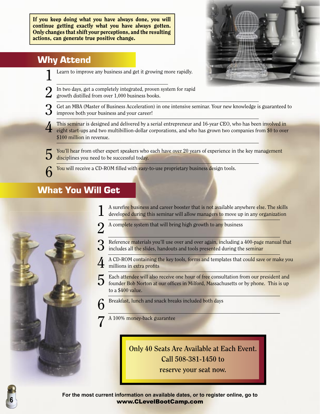If you keep doing what you have always done, you will continue getting exactly what you have always gotten. Only changes that shift your perceptions, and the resulting actions, can generate true positive change.

## Why Attend

- Learn to improve any business and get it growing more rapidly.
- In two days, get a completely integrated, proven system for rapid growth distilled from over 1,000 business books.
- Get an MBA (Master of Business Acceleration) in one intensive seminar. Your new knowledge is guaranteed to  $\mathbf{\hat{O}}$  improve both your business and your career!
	- This seminar is designed and delivered by a serial entrepreneur and 16-year CEO, who has been involved in eight start-ups and two multibillion-dollar corporations, and who has grown two companies from \$0 to over \$100 million in revenue.

You'll hear from other expert speakers who each have over 20 years of experience in the key management disciplines you need to be successful today.

**6** You will receive a CD-ROM filled with easy-to-use proprietary business design tools.

## What You Will Get



- 2 A complete system that will bring high growth to any business
- Reference materials you'll use over and over again, including a 400-page manual that  $\bigcup$  includes all the slides, handouts and tools presented during the seminar
	- 4 A CD-ROM containing the key tools, forms and templates that could save or make you millions in extra profits
- Each attendee will also receive one hour of free consultation from our president and
	- founder Bob Norton at our offices in Milford, Massachusetts or by phone. This is up to a \$400 value.
- $6$  Breakfast, lunch and snack breaks included both days
	- A 100% money-back guarantee

**Only 40 Seats Are Available at Each Event. Call 508-381-1450 to** 

**reserve your seat now.**





**6**

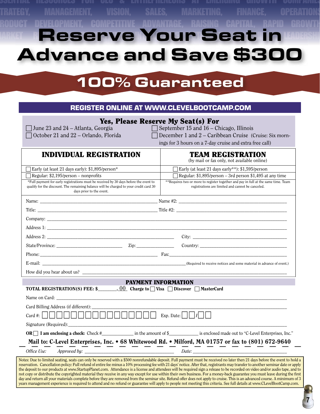# ESSENTIAL RESOURCES FOR CEO & ENTREPRENEURS AT EMERGING GROWTH COMPANIES. TRATEGY, MANAGEMENT, VISION, SALES, MARKETING, FINANCE, OPERATIONS <u>RODUCT DEVELOPMENT, COMPETITIVE ADVANTAGE, RAISING CAPITAL, RAPID GROWTH</u> **Reserve Your Seat** Advance and Save \$300

# 100% Guaranteed

#### REGISTER ONLINE AT WWW.CLEVELBOOTCAMP.COM

## **Yes, Please Reserve My Seat(s) For**<br>June 23 and 24 – Atlanta, Georgia <br>September 15 and 16 – Ch

 $\Box$  September 15 and 16 – Chicago, Illinois

 $\Box$  October 21 and 22 – Orlando, Florida  $\Box$  December 1 and 2 – Caribbean Cruise (Cruise: Six morn-

ings for 3 hours on a 7-day cruise and extra free call)

| <b>INDIVIDUAL REGISTRATION</b>                                                                                                                                                                                                                                                                                                                                                                                                           |                            | <b>TEAM REGISTRATION</b><br>(by mail or fax only, not available online)                                                                 |
|------------------------------------------------------------------------------------------------------------------------------------------------------------------------------------------------------------------------------------------------------------------------------------------------------------------------------------------------------------------------------------------------------------------------------------------|----------------------------|-----------------------------------------------------------------------------------------------------------------------------------------|
| Early (at least 21 days early): \$1,895/person*                                                                                                                                                                                                                                                                                                                                                                                          |                            | Early (at least 21 days early**): \$1,595/person                                                                                        |
| $\Box$ Regular: \$2,195/person – nonprofits                                                                                                                                                                                                                                                                                                                                                                                              |                            | $\Box$ Regular: \$1,895/person – 3rd person \$1,495 at any time                                                                         |
| *Full payment for early registrations must be received by 30 days before the event to<br>qualify for the discount. The remaining balance will be charged to your credit card 30<br>days prior to the event.                                                                                                                                                                                                                              |                            | **Requires two or more to register together and pay in full at the same time. Team<br>registrations are limited and cannot be canceled. |
|                                                                                                                                                                                                                                                                                                                                                                                                                                          |                            |                                                                                                                                         |
|                                                                                                                                                                                                                                                                                                                                                                                                                                          |                            |                                                                                                                                         |
|                                                                                                                                                                                                                                                                                                                                                                                                                                          |                            |                                                                                                                                         |
|                                                                                                                                                                                                                                                                                                                                                                                                                                          |                            |                                                                                                                                         |
|                                                                                                                                                                                                                                                                                                                                                                                                                                          |                            |                                                                                                                                         |
|                                                                                                                                                                                                                                                                                                                                                                                                                                          |                            |                                                                                                                                         |
|                                                                                                                                                                                                                                                                                                                                                                                                                                          |                            |                                                                                                                                         |
|                                                                                                                                                                                                                                                                                                                                                                                                                                          |                            |                                                                                                                                         |
|                                                                                                                                                                                                                                                                                                                                                                                                                                          |                            |                                                                                                                                         |
|                                                                                                                                                                                                                                                                                                                                                                                                                                          |                            |                                                                                                                                         |
|                                                                                                                                                                                                                                                                                                                                                                                                                                          | <b>PAYMENT INFORMATION</b> |                                                                                                                                         |
|                                                                                                                                                                                                                                                                                                                                                                                                                                          |                            |                                                                                                                                         |
|                                                                                                                                                                                                                                                                                                                                                                                                                                          |                            |                                                                                                                                         |
|                                                                                                                                                                                                                                                                                                                                                                                                                                          |                            |                                                                                                                                         |
|                                                                                                                                                                                                                                                                                                                                                                                                                                          |                            |                                                                                                                                         |
|                                                                                                                                                                                                                                                                                                                                                                                                                                          |                            |                                                                                                                                         |
| <b>TOTAL REGISTRATION(S) FEE: \$</b> _______, 00 Charge to $\Box$ Visa $\Box$ Discover $\Box$ MasterCard<br>Card Billing Address (if different):<br>$\operatorname{Card} \#:\ \bigsqcup \ \bigsqcup \ \bigsqcup \ \bigsqcup \ \bigsqcup \ \bigsqcup \ \bigsqcup \ \bigsqcup \ \bigsqcup \ \bigsqcup \ \bigsqcup \ \bigsqcup \ \bigsqcup \ \bigsqcup \ \bigsqcup \ \bigsqcup \ \bigsqcup \ \bigsqcup \ \bigsqcup \ \bigsqcup \ \bigsqcup$ |                            |                                                                                                                                         |
|                                                                                                                                                                                                                                                                                                                                                                                                                                          |                            | Mail to: C-Level Enterprises, Inc. • 68 Whitewood Rd. • Milford, MA 01757 or fax to (801) 672-9640                                      |

years management experience is required to attend and no refund or guarantee will apply to people not meeting this criteria. See full details at www.CLevelBootCamp.com.

**7**